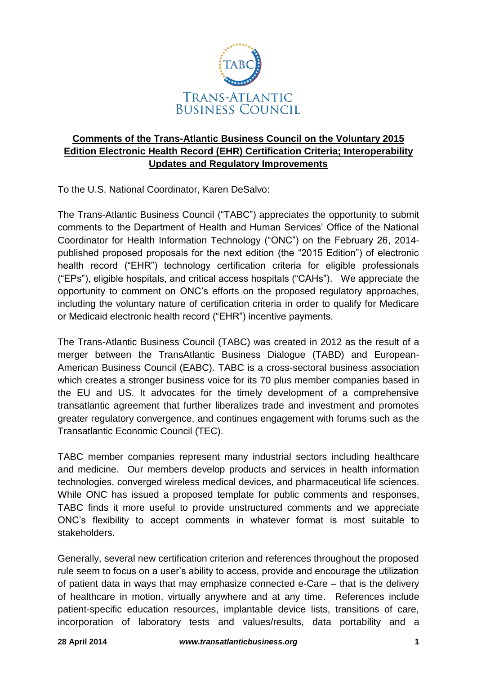

# **Comments of the Trans-Atlantic Business Council on the Voluntary 2015 Edition Electronic Health Record (EHR) Certification Criteria; Interoperability Updates and Regulatory Improvements**

To the U.S. National Coordinator, Karen DeSalvo:

The Trans-Atlantic Business Council ("TABC") appreciates the opportunity to submit comments to the Department of Health and Human Services' Office of the National Coordinator for Health Information Technology ("ONC") on the February 26, 2014 published proposed proposals for the next edition (the "2015 Edition") of electronic health record ("EHR") technology certification criteria for eligible professionals ("EPs"), eligible hospitals, and critical access hospitals ("CAHs"). We appreciate the opportunity to comment on ONC's efforts on the proposed regulatory approaches, including the voluntary nature of certification criteria in order to qualify for Medicare or Medicaid electronic health record ("EHR") incentive payments.

The Trans-Atlantic Business Council (TABC) was created in 2012 as the result of a merger between the TransAtlantic Business Dialogue (TABD) and European-American Business Council (EABC). TABC is a cross-sectoral business association which creates a stronger business voice for its 70 plus member companies based in the EU and US. It advocates for the timely development of a comprehensive transatlantic agreement that further liberalizes trade and investment and promotes greater regulatory convergence, and continues engagement with forums such as the Transatlantic Economic Council (TEC).

TABC member companies represent many industrial sectors including healthcare and medicine. Our members develop products and services in health information technologies, converged wireless medical devices, and pharmaceutical life sciences. While ONC has issued a proposed template for public comments and responses, TABC finds it more useful to provide unstructured comments and we appreciate ONC's flexibility to accept comments in whatever format is most suitable to stakeholders.

Generally, several new certification criterion and references throughout the proposed rule seem to focus on a user's ability to access, provide and encourage the utilization of patient data in ways that may emphasize connected e-Care – that is the delivery of healthcare in motion, virtually anywhere and at any time. References include patient-specific education resources, implantable device lists, transitions of care, incorporation of laboratory tests and values/results, data portability and a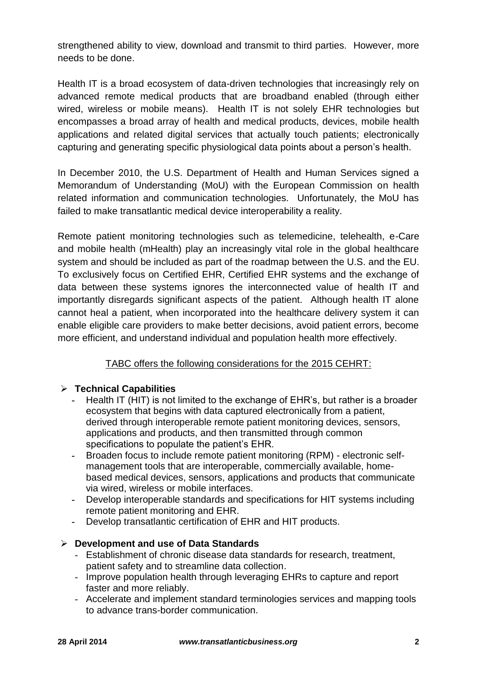strengthened ability to view, download and transmit to third parties. However, more needs to be done.

Health IT is a broad ecosystem of data-driven technologies that increasingly rely on advanced remote medical products that are broadband enabled (through either wired, wireless or mobile means). Health IT is not solely EHR technologies but encompasses a broad array of health and medical products, devices, mobile health applications and related digital services that actually touch patients; electronically capturing and generating specific physiological data points about a person's health.

In December 2010, the U.S. Department of Health and Human Services signed a Memorandum of Understanding (MoU) with the European Commission on health related information and communication technologies. Unfortunately, the MoU has failed to make transatlantic medical device interoperability a reality.

Remote patient monitoring technologies such as telemedicine, telehealth, e-Care and mobile health (mHealth) play an increasingly vital role in the global healthcare system and should be included as part of the roadmap between the U.S. and the EU. To exclusively focus on Certified EHR, Certified EHR systems and the exchange of data between these systems ignores the interconnected value of health IT and importantly disregards significant aspects of the patient. Although health IT alone cannot heal a patient, when incorporated into the healthcare delivery system it can enable eligible care providers to make better decisions, avoid patient errors, become more efficient, and understand individual and population health more effectively.

# TABC offers the following considerations for the 2015 CEHRT:

### **Technical Capabilities**

- **-** Health IT (HIT) is not limited to the exchange of EHR's, but rather is a broader ecosystem that begins with data captured electronically from a patient, derived through interoperable remote patient monitoring devices, sensors, applications and products, and then transmitted through common specifications to populate the patient's EHR.
- **-** Broaden focus to include remote patient monitoring (RPM) electronic selfmanagement tools that are interoperable, commercially available, homebased medical devices, sensors, applications and products that communicate via wired, wireless or mobile interfaces.
- **-** Develop interoperable standards and specifications for HIT systems including remote patient monitoring and EHR.
- **-** Develop transatlantic certification of EHR and HIT products.

### **Development and use of Data Standards**

- Establishment of chronic disease data standards for research, treatment, patient safety and to streamline data collection.
- Improve population health through leveraging EHRs to capture and report faster and more reliably.
- Accelerate and implement standard terminologies services and mapping tools to advance trans-border communication.